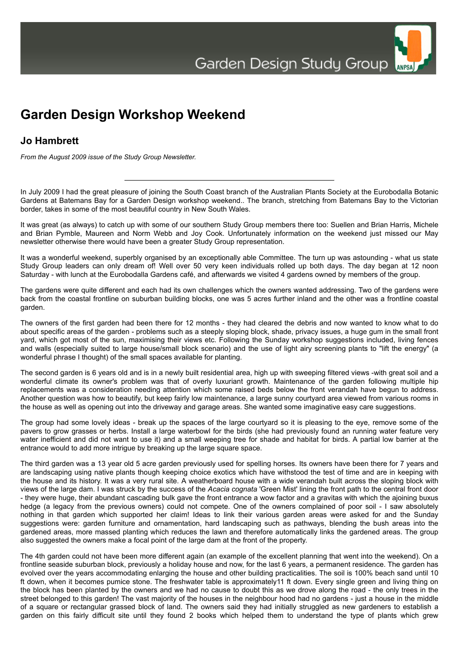

## **Jo Hambrett**

*From the August 2009 issue of the Study Group Newsletter.*

In July 2009 I had the great pleasure of joining the South Coast branch of the Australian Plants Society at the Eurobodalla Botanic Gardens at Batemans Bay for a Garden Design workshop weekend.. The branch, stretching from Batemans Bay to the Victorian border, takes in some of the most beautiful country in New South Wales.

It was great (as always) to catch up with some of our southern Study Group members there too: Suellen and Brian Harris, Michele and Brian Pymble, Maureen and Norm Webb and Joy Cook. Unfortunately information on the weekend just missed our May newsletter otherwise there would have been a greater Study Group representation.

It was a wonderful weekend, superbly organised by an exceptionally able Committee. The turn up was astounding - what us state Study Group leaders can only dream of! Well over 50 very keen individuals rolled up both days. The day began at 12 noon Saturday - with lunch at the Eurobodalla Gardens café, and afterwards we visited 4 gardens owned by members of the group.

The gardens were quite different and each had its own challenges which the owners wanted addressing. Two of the gardens were back from the coastal frontline on suburban building blocks, one was 5 acres further inland and the other was a frontline coastal garden.

The owners of the first garden had been there for 12 months - they had cleared the debris and now wanted to know what to do about specific areas of the garden - problems such as a steeply sloping block, shade, privacy issues, a huge gum in the small front yard, which got most of the sun, maximising their views etc. Following the Sunday workshop suggestions included, living fences and walls (especially suited to large house/small block scenario) and the use of light airy screening plants to "lift the energy" (a wonderful phrase I thought) of the small spaces available for planting.

The second garden is 6 years old and is in a newly built residential area, high up with sweeping filtered views -with great soil and a wonderful climate its owner's problem was that of overly luxuriant growth. Maintenance of the garden following multiple hip replacements was a consideration needing attention which some raised beds below the front verandah have begun to address. Another question was how to beautify, but keep fairly low maintenance, a large sunny courtyard area viewed from various rooms in the house as well as opening out into the driveway and garage areas. She wanted some imaginative easy care suggestions.

The group had some lovely ideas - break up the spaces of the large courtyard so it is pleasing to the eye, remove some of the pavers to grow grasses or herbs. Install a large waterbowl for the birds (she had previously found an running water feature very water inefficient and did not want to use it) and a small weeping tree for shade and habitat for birds. A partial low barrier at the entrance would to add more intrigue by breaking up the large square space.

The third garden was a 13 year old 5 acre garden previously used for spelling horses. Its owners have been there for 7 years and are landscaping using native plants though keeping choice exotics which have withstood the test of time and are in keeping with the house and its history. It was a very rural site. A weatherboard house with a wide verandah built across the sloping block with views of the large dam. I was struck by the success of the *Acacia cognata* 'Green Mist' lining the front path to the central front door - they were huge, their abundant cascading bulk gave the front entrance a wow factor and a gravitas with which the ajoining buxus hedge (a legacy from the previous owners) could not compete. One of the owners complained of poor soil - I saw absolutely nothing in that garden which supported her claim! Ideas to link their various garden areas were asked for and the Sunday suggestions were: garden furniture and ornamentation, hard landscaping such as pathways, blending the bush areas into the gardened areas, more massed planting which reduces the lawn and therefore automatically links the gardened areas. The group also suggested the owners make a focal point of the large dam at the front of the property.

The 4th garden could not have been more different again (an example of the excellent planning that went into the weekend). On a frontline seaside suburban block, previously a holiday house and now, for the last 6 years, a permanent residence. The garden has evolved over the years accommodating enlarging the house and other building practicalities. The soil is 100% beach sand until 10 ft down, when it becomes pumice stone. The freshwater table is approximately11 ft down. Every single green and living thing on the block has been planted by the owners and we had no cause to doubt this as we drove along the road - the only trees in the street belonged to this garden! The vast majority of the houses in the neighbour hood had no gardens - just a house in the middle of a square or rectangular grassed block of land. The owners said they had initially struggled as new gardeners to establish a garden on this fairly difficult site until they found 2 books which helped them to understand the type of plants which grew